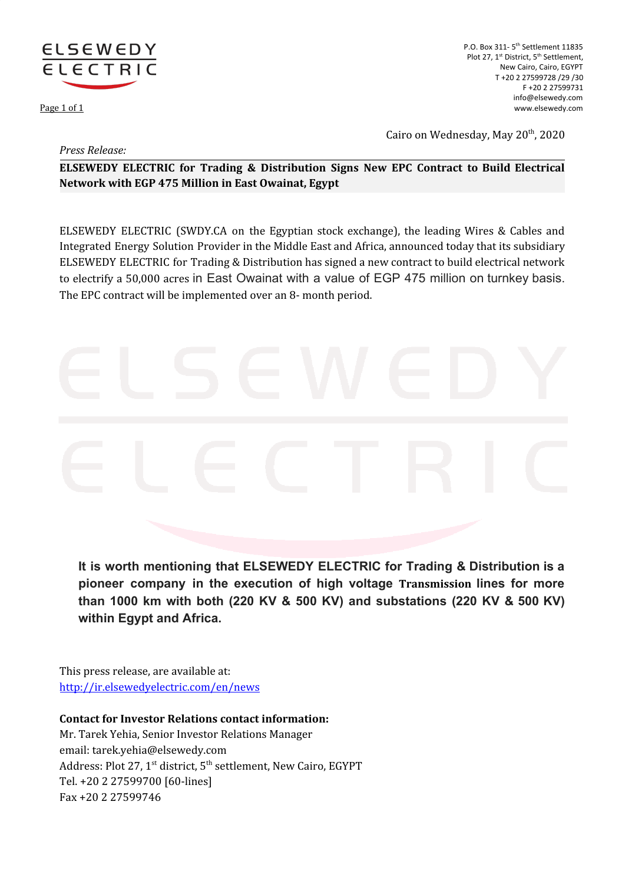

Page 1 of 1

P.O. Box 311-5<sup>th</sup> Settlement 11835 Plot 27, 1<sup>st</sup> District, 5<sup>th</sup> Settlement, New Cairo, Cairo, EGYPT T +20 2 27599728 /29 /30 F +20 2 27599731 info@elsewedy.com www.elsewedy.com

Cairo on Wednesday, May 20<sup>th</sup>, 2020

## *Press Release:*

**ELSEWEDY ELECTRIC for Trading & Distribution Signs New EPC Contract to Build Electrical Network with EGP 475 Million in East Owainat, Egypt**

ELSEWEDY ELECTRIC (SWDY.CA on the Egyptian stock exchange), the leading Wires & Cables and Integrated Energy Solution Provider in the Middle East and Africa, announced today that its subsidiary ELSEWEDY ELECTRIC for Trading & Distribution has signed a new contract to build electrical network to electrify a 50,000 acres in East Owainat with a value of EGP 475 million on turnkey basis. The EPC contract will be implemented over an 8- month period.



**It is worth mentioning that ELSEWEDY ELECTRIC for Trading & Distribution is a pioneer company in the execution of high voltage Transmission lines for more than 1000 km with both (220 KV & 500 KV) and substations (220 KV & 500 KV) within Egypt and Africa.**

This press release, are available at: <http://ir.elsewedyelectric.com/en/news>

**Contact for Investor Relations contact information:** Mr. Tarek Yehia, Senior Investor Relations Manager email: tarek.yehia@elsewedy.com Address: Plot 27, 1<sup>st</sup> district, 5<sup>th</sup> settlement, New Cairo, EGYPT Tel. +20 2 27599700 [60-lines] Fax +20 2 27599746